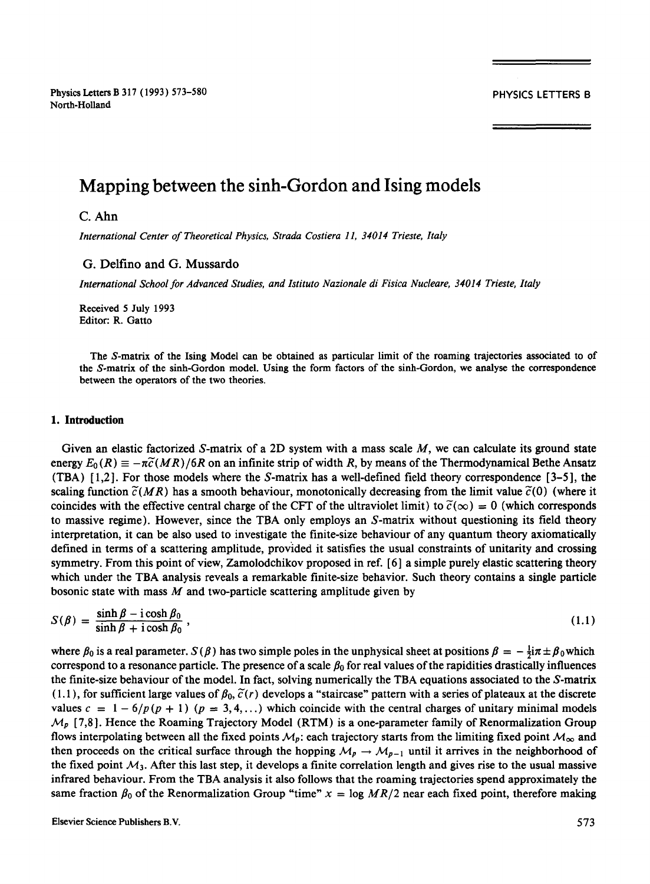Physics Letters B 317 (1993) 573-580 **PHYSICS LETTERS B** North-Holland

# **Mapping between the sinh-Gordon and Ising models**

# C. Ahn

*International Center of Theoretical Physics, Strada Costiera 11, 34014 Trieste, Italy* 

# **G.** Delfino and G. Mussardo

*International School for Advanced Studies, and Istituto Nazionale di Fisica Nucleare, 34014 Trieste, Italy* 

Received 5 July 1993 Editor: R. Gatto

**The** S-matrix of the Ising Model can be obtained as particular limit of the roaming trajectories associated to of the S-matrix of the sinh-Gordon model. Using the form factors of the sinh-Gordon, we analyse the correspondence between the operators of the two theories.

### **1. Introduction**

Given an elastic factorized S-matrix of a 2D system with a mass scale  $M$ , we can calculate its ground state energy  $E_0(R) \equiv -\pi \tilde{c}(MR)/6R$  on an infinite strip of width R, by means of the Thermodynamical Bethe Ansatz (TBA)  $[1,2]$ . For those models where the S-matrix has a well-defined field theory correspondence  $[3-5]$ , the scaling function  $\tilde{c}(MR)$  has a smooth behaviour, monotonically decreasing from the limit value  $\tilde{c}(0)$  (where it coincides with the effective central charge of the CFT of the ultraviolet limit) to  $\tilde{c}(\infty) = 0$  (which corresponds to massive regime). However, since the TBA only employs an S-matrix without questioning its field theory interpretation, it can be also used to investigate the finite-size behaviour of any quantum theory axiomatically defined in terms of a scattering amplitude, provided it satisfies the usual constraints of unitarity and crossing symmetry. From this point of view, Zamolodchikov proposed in ref. [6 ] a simple purely elastic scattering theory which under the TBA analysis reveals a remarkable finite-size behavior. Such theory contains a single particle bosonic state with mass  $M$  and two-particle scattering amplitude given by

$$
S(\beta) = \frac{\sinh \beta - i \cosh \beta_0}{\sinh \beta + i \cosh \beta_0},
$$
\n(1.1)

where  $\beta_0$  is a real parameter.  $S(\beta)$  has two simple poles in the unphysical sheet at positions  $\beta = -\frac{1}{2}i\pi + \beta_0$  which correspond to a resonance particle. The presence of a scale  $\beta_0$  for real values of the rapidities drastically influences the finite-size behaviour of the model. In fact, solving numerically the TBA equations associated to the S-matrix  $(1.1)$ , for sufficient large values of  $\beta_0$ ,  $\tilde{c}(r)$  develops a "staircase" pattern with a series of plateaux at the discrete values  $c = 1 - 6/p (p + 1)$  ( $p = 3, 4, ...$ ) which coincide with the central charges of unitary minimal models  $M_p$  [7,8]. Hence the Roaming Trajectory Model (RTM) is a one-parameter family of Renormalization Group flows interpolating between all the fixed points  $M_p$ : each trajectory starts from the limiting fixed point  $M_\infty$  and then proceeds on the critical surface through the hopping  $M_p \to M_{p-1}$  until it arrives in the neighborhood of the fixed point  $M_3$ . After this last step, it develops a finite correlation length and gives rise to the usual massive infrared behaviour. From the TBA analysis it also follows that the roaming trajectories spend approximately the same fraction  $\beta_0$  of the Renormalization Group "time"  $x = \log MR/2$  near each fixed point, therefore making

Elsevier Science Publishers B.V. 5 73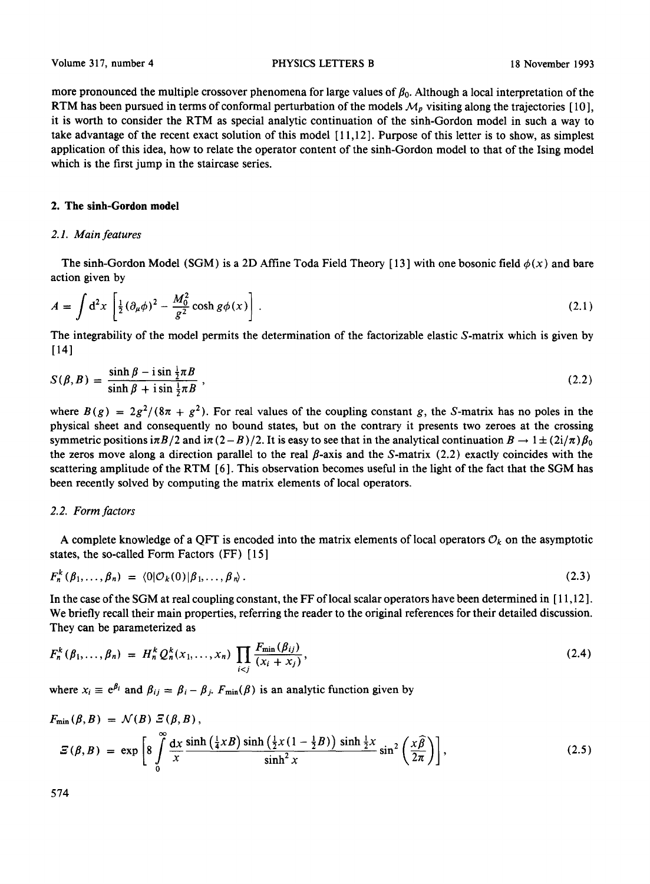more pronounced the multiple crossover phenomena for large values of  $\beta_0$ . Although a local interpretation of the RTM has been pursued in terms of conformal perturbation of the models  $M_p$  visiting along the trajectories [10], it is worth to consider the RTM as special analytic continuation of the sinh-Gordon model in such a way to take advantage of the recent exact solution of this model [ 11,12 ]. Purpose of this letter is to show, as simplest application of this idea, how to relate the operator content of the sinh-Gordon model to that of the Ising model which is the first jump in the staircase series.

# **2. The sinh-Gordon model**

# *2.1. Main features*

The sinh-Gordon Model (SGM) is a 2D Affine Toda Field Theory [13] with one bosonic field  $\phi(x)$  and bare action given by

$$
A = \int d^2x \left[ \frac{1}{2} (\partial_\mu \phi)^2 - \frac{M_0^2}{g^2} \cosh g \phi(x) \right].
$$
 (2.1)

The integrability of the model permits the determination of the factorizable elastic S-matrix which is given by [14]

$$
S(\beta, B) = \frac{\sinh \beta - i \sin \frac{1}{2} \pi B}{\sinh \beta + i \sin \frac{1}{2} \pi B},
$$
\n(2.2)

where  $B(g) = 2g^2/(8\pi + g^2)$ . For real values of the coupling constant g, the S-matrix has no poles in the physical sheet and consequently no bound states, but on the contrary it presents two zeroes at the crossing symmetric positions  $i\pi B/2$  and  $i\pi (2-B)/2$ . It is easy to see that in the analytical continuation  $B \to 1 \pm (2i/\pi)\beta_0$ the zeros move along a direction parallel to the real  $\beta$ -axis and the S-matrix (2.2) exactly coincides with the scattering amplitude of the RTM [6]. This observation becomes useful in the light of the fact that the SGM has been recently solved by computing the matrix elements of local operators.

#### *2.2. Form factors*

A complete knowledge of a QFT is encoded into the matrix elements of local operators  $\mathcal{O}_k$  on the asymptotic states, the so-called Form Factors (FF) [ 15 ]

$$
F_n^k(\beta_1,\ldots,\beta_n) = \langle 0|\mathcal{O}_k(0)|\beta_1,\ldots,\beta_n\rangle. \tag{2.3}
$$

In the case of the SGM at real coupling constant, the FF of local scalar operators have been determined in [ 11,12 ]. We briefly recall their main properties, referring the reader to the original references for their detailed discussion. They can be parameterized as

$$
F_n^k(\beta_1, ..., \beta_n) = H_n^k Q_n^k(x_1, ..., x_n) \prod_{i < j} \frac{F_{\min}(\beta_{ij})}{(x_i + x_j)},\tag{2.4}
$$

where  $x_i \equiv e^{\beta_i}$  and  $\beta_{ij} = \beta_i - \beta_j$ .  $F_{min}(\beta)$  is an analytic function given by

$$
F_{\min}(\beta, B) = \mathcal{N}(B) \, \mathcal{Z}(\beta, B),
$$
\n
$$
\mathcal{Z}(\beta, B) = \exp\left[8 \int\limits_{0}^{\infty} \frac{dx}{x} \frac{\sinh\left(\frac{1}{4}xB\right)\sinh\left(\frac{1}{2}x\left(1-\frac{1}{2}B\right)\right)\sinh\frac{1}{2}x}{\sinh^2 x}\sin^2\left(\frac{x\widehat{\beta}}{2\pi}\right)\right],
$$
\n(2.5)

574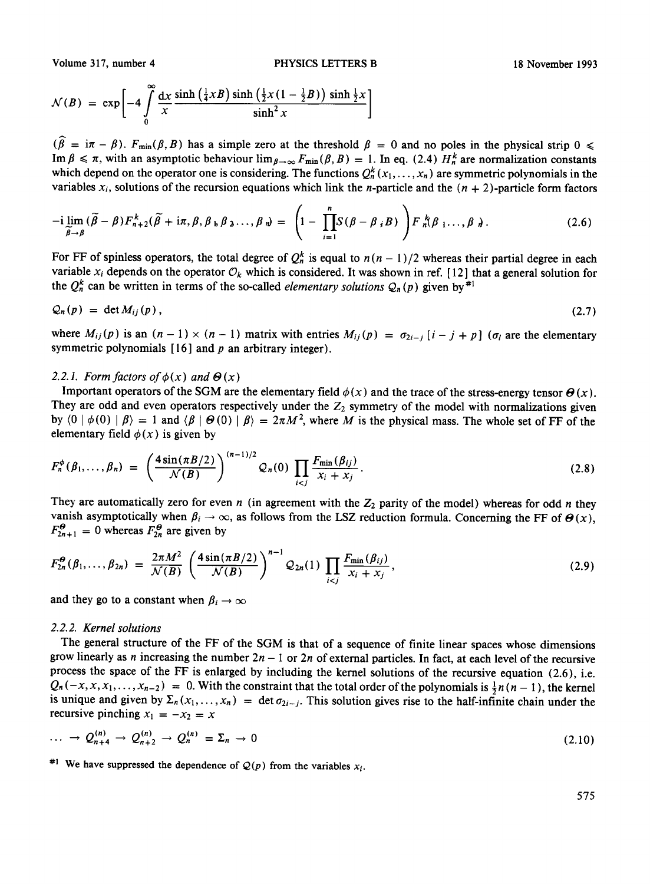Volume 317, number 4 **PHYSICS LETTERS B** 18 November 1993

$$
\mathcal{N}(B) = \exp\left[-4\int\limits_{0}^{\infty}\frac{\mathrm{d}x}{x}\frac{\sinh\left(\frac{1}{4}xB\right)\sinh\left(\frac{1}{2}x\left(1-\frac{1}{2}B\right)\right)\sinh\frac{1}{2}x}{\sinh^2 x}\right]
$$

 $(\widehat{\beta} = i\pi - \beta)$ .  $F_{min}(\beta, B)$  has a simple zero at the threshold  $\beta = 0$  and no poles in the physical strip  $0 \le$ Im  $\beta \leq \pi$ , with an asymptotic behaviour  $\lim_{\beta \to \infty} F_{\min}(\beta, B) = 1$ . In eq. (2.4)  $H_n^k$  are normalization constants which depend on the operator one is considering. The functions  $Q_n^k$  ( $x_1, \ldots, x_n$ ) are symmetric polynomials in the variables  $x_i$ , solutions of the recursion equations which link the *n*-particle and the  $(n + 2)$ -particle form factors

$$
-i \lim_{\widetilde{\beta}\to\beta} (\widetilde{\beta}-\beta) F_{n+2}^k(\widetilde{\beta}+i\pi,\beta,\beta_{\,k}\beta_{\,k}\ldots,\beta_{\,n}) = \left(1-\prod_{i=1}^n S(\beta-\beta_{\,i}B)\right) F_n^k(\beta_{\,1}\ldots,\beta_{\,n}). \tag{2.6}
$$

For FF of spinless operators, the total degree of  $Q_n^k$  is equal to  $n(n-1)/2$  whereas their partial degree in each variable  $x_i$  depends on the operator  $\mathcal{O}_k$  which is considered. It was shown in ref. [12] that a general solution for the  $Q_n^k$  can be written in terms of the so-called *elementary solutions*  $Q_n(p)$  given by <sup>#1</sup>

$$
Q_n(p) = \det M_{ij}(p), \qquad (2.7)
$$

where  $M_{ij}(p)$  is an  $(n - 1) \times (n - 1)$  matrix with entries  $M_{ij}(p) = \sigma_{2i-j} [i - j + p]$  ( $\sigma_i$  are the elementary symmetric polynomials  $[16]$  and p an arbitrary integer).

#### 2.2.1. Form factors of  $\phi(x)$  and  $\Theta(x)$

Important operators of the SGM are the elementary field  $\phi(x)$  and the trace of the stress-energy tensor  $\theta(x)$ . They are odd and even operators respectively under the  $Z_2$  symmetry of the model with normalizations given by  $\langle 0 | \phi(0) | \beta \rangle = 1$  and  $\langle \beta | \Theta(0) | \beta \rangle = 2\pi M^2$ , where M is the physical mass. The whole set of FF of the elementary field  $\phi(x)$  is given by

$$
F_n^{\phi}(\beta_1, ..., \beta_n) = \left(\frac{4 \sin(\pi B/2)}{\mathcal{N}(B)}\right)^{(n-1)/2} \mathcal{Q}_n(0) \prod_{i < j} \frac{F_{\min}(\beta_{ij})}{x_i + x_j} \,. \tag{2.8}
$$

They are automatically zero for even n (in agreement with the  $Z_2$  parity of the model) whereas for odd n they vanish asymptotically when  $\beta_i \to \infty$ , as follows from the LSZ reduction formula. Concerning the FF of  $\Theta(x)$ ,  $F_{2n+1}^{\theta} = 0$  whereas  $F_{2n}^{\theta}$  are given by

$$
F_{2n}^{\Theta}(\beta_1,\ldots,\beta_{2n}) = \frac{2\pi M^2}{\mathcal{N}(B)} \left(\frac{4\sin(\pi B/2)}{\mathcal{N}(B)}\right)^{n-1} \mathcal{Q}_{2n}(1) \prod_{i < j} \frac{F_{\min}(\beta_{ij})}{x_i + x_j},\tag{2.9}
$$

and they go to a constant when  $\beta_i \rightarrow \infty$ 

### *2.2.2. Kernel solutions*

The general structure of the FF of the SGM is that of a sequence of finite linear spaces whose dimensions grow linearly as n increasing the number  $2n - 1$  or  $2n$  of external particles. In fact, at each level of the recursive process the space of the FF is enlarged by including the kernel solutions of the recursive equation (2.6), i.e.  $Q_n(-x, x, x_1, \ldots, x_{n-2}) = 0$ . With the constraint that the total order of the polynomials is  $\frac{1}{2}n(n-1)$ , the kernel is unique and given by  $\Sigma_n(x_1, \ldots, x_n) = \det \sigma_{2i-j}$ . This solution gives rise to the half-infinite chain under the recursive pinching  $x_1 = -x_2 = x$ 

$$
\ldots \to Q_{n+4}^{(n)} \to Q_{n+2}^{(n)} \to Q_n^{(n)} = \Sigma_n \to 0 \tag{2.10}
$$

<sup>#1</sup> We have suppressed the dependence of  $Q(p)$  from the variables  $x_i$ .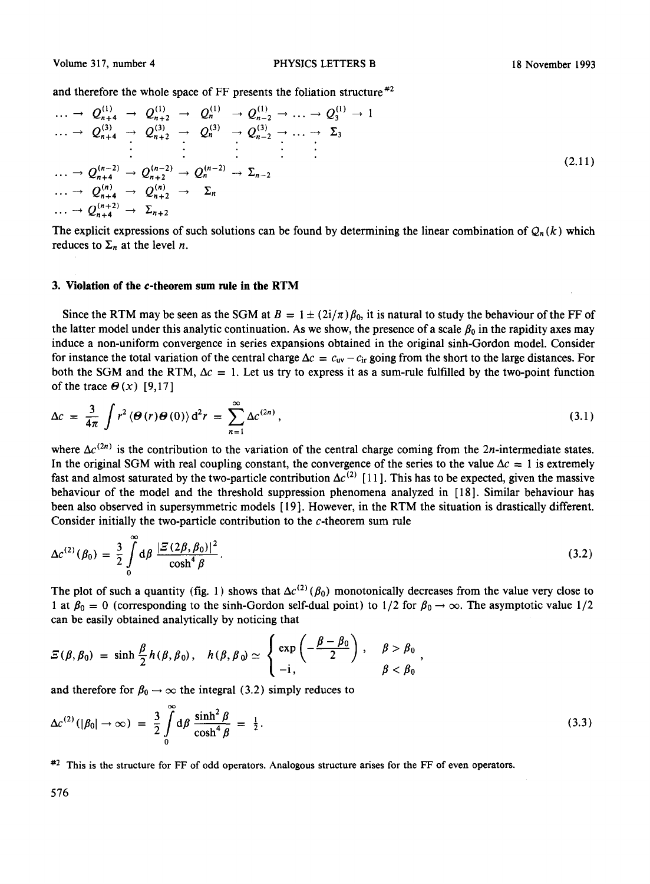and therefore the whole space of FF presents the foliation structure  $*2$ 

$$
\cdots \rightarrow Q_{n+4}^{(1)} \rightarrow Q_{n+2}^{(1)} \rightarrow Q_n^{(1)} \rightarrow Q_{n-2}^{(1)} \rightarrow \cdots \rightarrow Q_3^{(1)} \rightarrow 1
$$
\n
$$
\cdots \rightarrow Q_{n+4}^{(3)} \rightarrow Q_{n+2}^{(3)} \rightarrow Q_n^{(3)} \rightarrow Q_{n-2}^{(3)} \rightarrow \cdots \rightarrow \sum_3
$$
\n
$$
\cdots \rightarrow Q_{n+4}^{(n-2)} \rightarrow Q_{n+2}^{(n-2)} \rightarrow Q_n^{(n-2)} \rightarrow \sum_{n-2}
$$
\n
$$
\cdots \rightarrow Q_{n+4}^{(n)} \rightarrow Q_{n+2}^{(n)} \rightarrow \sum_n
$$
\n
$$
\cdots \rightarrow Q_{n+4}^{(n+2)} \rightarrow \sum_{n+2}^{(n+2)} \cdots \sum_{n+2}^{(n+2)} \cdots \sum_{n+2}^{(n+2)} \cdots \sum_{n+2}^{(n+2)} \cdots \sum_{n+2}^{(n+2)} \cdots \sum_{n+2}^{(n+2)} \cdots \sum_{n+2}^{(n+2)} \cdots \sum_{n+2}^{(n+2)} \cdots \sum_{n+2}^{(n+2)} \cdots \sum_{n+2}^{(n+2)} \cdots \sum_{n+2}^{(n+2)} \cdots \sum_{n+2}^{(n+2)} \cdots \sum_{n+2}^{(n+2)} \cdots \sum_{n+2}^{(n+2)} \cdots \sum_{n+2}^{(n+2)} \cdots \sum_{n+2}^{(n+2)} \cdots \sum_{n+2}^{(n+2)} \cdots \sum_{n+2}^{(n+2)} \cdots \sum_{n+2}^{(n+2)} \cdots \sum_{n+2}^{(n+2)} \cdots \sum_{n+2}^{(n+2)} \cdots \sum_{n+2}^{(n+2)} \cdots \sum_{n+2}^{(n+2)} \cdots \sum_{n+2}^{(n+2)} \cdots \sum_{n+2}^{(n+2)} \cdots \sum_{n+2}^{(n+2)} \cdots \sum_{n+2}^{(n+2)} \cdots \sum_{n+2}^{(n+2)} \cdots \sum_{n+2}^{(n+2)} \cdots \sum_{n+2}^{(n+2)} \cdots \sum_{n+2}^{(n+2)} \cdots \sum_{n+
$$

The explicit expressions of such solutions can be found by determining the linear combination of  $Q_n(k)$  which reduces to  $\Sigma_n$  at the level *n*.

#### **3. Violation of the c-theorem sum rule in the RTM**

Since the RTM may be seen as the SGM at  $B = 1 \pm (2i/\pi) \beta_0$ , it is natural to study the behaviour of the FF of the latter model under this analytic continuation. As we show, the presence of a scale  $\beta_0$  in the rapidity axes may induce a non-uniform convergence in series expansions obtained in the original sinh-Gordon model. Consider for instance the total variation of the central charge  $\Delta c = c_{uv} - c_{ir}$  going from the short to the large distances. For both the SGM and the RTM,  $\Delta c = 1$ . Let us try to express it as a sum-rule fulfilled by the two-point function of the trace  $\Theta(x)$  [9,17]

$$
\Delta c = \frac{3}{4\pi} \int r^2 \langle \Theta(r) \Theta(0) \rangle d^2 r = \sum_{n=1}^{\infty} \Delta c^{(2n)}, \qquad (3.1)
$$

where  $\Delta c^{(2n)}$  is the contribution to the variation of the central charge coming from the 2n-intermediate states. In the original SGM with real coupling constant, the convergence of the series to the value  $\Delta c = 1$  is extremely fast and almost saturated by the two-particle contribution  $\Delta c^{(2)}$  [11]. This has to be expected, given the massive behaviour of the model and the threshold suppression phenomena analyzed in [18]. Similar behaviour has been also observed in supersymmetric models [ 19 ]. However, in the RTM the situation is drastically different. Consider initially the two-particle contribution to the c-theorem sum rule

$$
\Delta c^{(2)}(\beta_0) = \frac{3}{2} \int\limits_0^\infty d\beta \frac{|\mathcal{Z}(2\beta, \beta_0)|^2}{\cosh^4 \beta}.
$$
\n(3.2)

The plot of such a quantity (fig. 1) shows that  $\Delta c^{(2)}(\beta_0)$  monotonically decreases from the value very close to 1 at  $\beta_0 = 0$  (corresponding to the sinh-Gordon self-dual point) to 1/2 for  $\beta_0 \rightarrow \infty$ . The asymptotic value 1/2 can be easily obtained analytically by noticing that

$$
\mathcal{Z}(\beta,\beta_0) = \sinh \frac{\beta}{2} h(\beta,\beta_0), \quad h(\beta,\beta_0) \simeq \begin{cases} \exp \left( -\frac{\beta-\beta_0}{2} \right), & \beta > \beta_0 \\ -i, & \beta < \beta_0 \end{cases}
$$

and therefore for  $\beta_0 \rightarrow \infty$  the integral (3.2) simply reduces to

$$
\Delta c^{(2)}(|\beta_0| \to \infty) = \frac{3}{2} \int\limits_0^\infty d\beta \frac{\sinh^2 \beta}{\cosh^4 \beta} = \frac{1}{2}.
$$
\n(3.3)

#2 This is the structure for FF of odd operators. Analogous structure arises for the FF of even operators.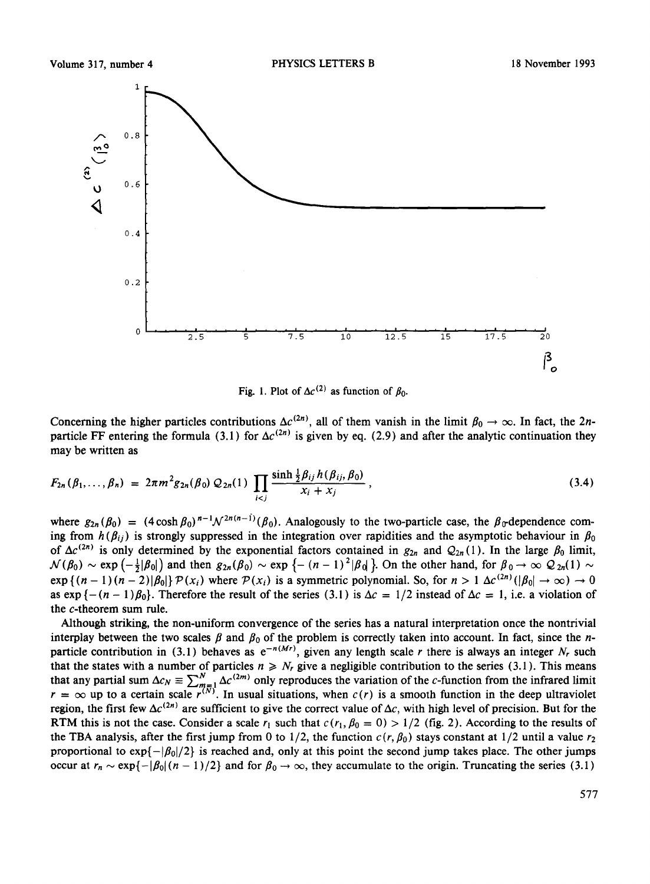

Fig. 1. Plot of  $\Delta c^{(2)}$  as function of  $\beta_0$ .

Concerning the higher particles contributions  $\Delta c^{(2n)}$ , all of them vanish in the limit  $\beta_0 \to \infty$ . In fact, the 2nparticle FF entering the formula (3.1) for  $\Delta c^{(2n)}$  is given by eq. (2.9) and after the analytic continuation they may be written as

$$
F_{2n}(\beta_1,\ldots,\beta_n) = 2\pi m^2 g_{2n}(\beta_0) Q_{2n}(1) \prod_{i
$$

where  $g_{2n}(\beta_0) = (4 \cosh \beta_0)^{n-1} \mathcal{N}^{2n(n-1)}(\beta_0)$ . Analogously to the two-particle case, the  $\beta_0$ -dependence coming from  $h(\beta_{ij})$  is strongly suppressed in the integration over rapidities and the asymptotic behaviour in  $\beta_0$ of  $\Delta c^{(2n)}$  is only determined by the exponential factors contained in  $g_{2n}$  and  $Q_{2n}(1)$ . In the large  $\beta_0$  limit,  $\mathcal{N}(\beta_0) \sim \exp \left(-\frac{1}{2}|\beta_0|\right)$  and then  $g_{2n}(\beta_0) \sim \exp \left\{-\left(n - 1\right)^2|\beta_0|\right\}$ . On the other hand, for  $\beta_0 \to \infty$   $\mathcal{Q}_{2n}(1) \sim$  $\exp\{(n-1)(n-2)|\beta_0|\}P(x_i)$  where  $P(x_i)$  is a symmetric polynomial. So, for  $n > 1$   $\Delta c^{(2n)}(|\beta_0| \to \infty) \to 0$ as  $\exp\{-(n-1)\beta_0\}$ . Therefore the result of the series (3.1) is  $\Delta c = 1/2$  instead of  $\Delta c = 1$ , i.e. a violation of the c-theorem sum rule.

Although striking, the non-uniform convergence of the series has a natural interpretation once the nontrivial interplay between the two scales  $\beta$  and  $\beta_0$  of the problem is correctly taken into account. In fact, since the nparticle contribution in (3.1) behaves as  $e^{-n(Mr)}$ , given any length scale r there is always an integer N<sub>r</sub> such that the states with a number of particles  $n \ge N_r$  give a negligible contribution to the series (3.1). This means that any partial sum  $\Delta c_N \equiv \sum_{m=1}^N \Delta c^{(2m)}$  only reproduces the variation of the c-function from the infrared limit  $r = \infty$  up to a certain scale  $r^{(n)}$ . In usual situations, when  $c(r)$  is a smooth function in the deep ultraviolet region, the first few  $\Delta c^{(2n)}$  are sufficient to give the correct value of  $\Delta c$ , with high level of precision. But for the RTM this is not the case. Consider a scale  $r_1$  such that  $c(r_1, \beta_0 = 0) > 1/2$  (fig. 2). According to the results of the TBA analysis, after the first jump from 0 to  $1/2$ , the function  $c(r, \beta_0)$  stays constant at  $1/2$  until a value  $r_2$ proportional to  $\exp\{-|\beta_0|/2\}$  is reached and, only at this point the second jump takes place. The other jumps occur at  $r_n \sim \exp{\{-|\beta_0| (n-1)/2\}}$  and for  $\beta_0 \to \infty$ , they accumulate to the origin. Truncating the series (3.1)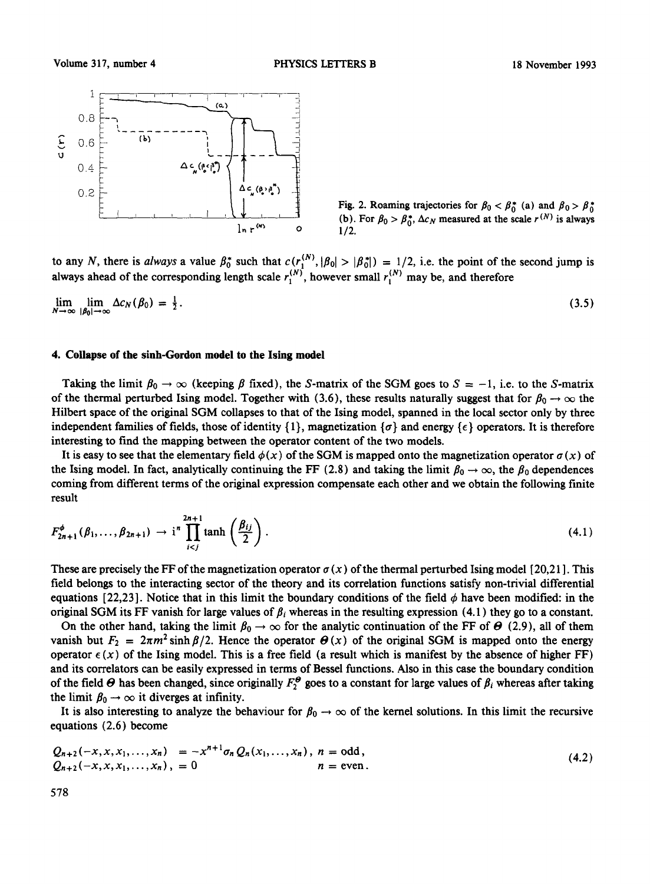

Fig. 2. Roaming trajectories for  $\beta_0 < \beta_0^*$  (a) and  $\beta_0 > \beta_0^*$ (b). For  $\beta_0 > \beta_0^*$ ,  $\Delta c_N$  measured at the scale  $r^{(N)}$  is always 1/2.

to any N, there is *always* a value  $\beta_0^*$  such that  $c(r_1^{(1,0)}, |\beta_0| > |\beta_0^*|) = 1/2$ , i.e. the point of the second jump is always ahead of the corresponding length scale  $r_1^{(1)}$ , however small  $r_1^{(1)}$  may be, and therefore

$$
\lim_{N \to \infty} \lim_{|\beta_0| \to \infty} \Delta c_N(\beta_0) = \frac{1}{2}.
$$
\n(3.5)

# **4. Collapse of the sinh-Gordon model to the Ising model**

Taking the limit  $\beta_0 \to \infty$  (keeping  $\beta$  fixed), the S-matrix of the SGM goes to  $S = -1$ , i.e. to the S-matrix of the thermal perturbed Ising model. Together with (3.6), these results naturally suggest that for  $\beta_0 \to \infty$  the Hilbert space of the original SGM collapses to that of the Ising model, spanned in the local sector only by three independent families of fields, those of identity  $\{1\}$ , magnetization  $\{\sigma\}$  and energy  $\{\epsilon\}$  operators. It is therefore interesting to find the mapping between the operator content of the two models.

It is easy to see that the elementary field  $\phi(x)$  of the SGM is mapped onto the magnetization operator  $\sigma(x)$  of the Ising model. In fact, analytically continuing the FF (2.8) and taking the limit  $\beta_0 \to \infty$ , the  $\beta_0$  dependences coming from different terms of the original expression compensate each other and we obtain the following finite result

$$
F_{2n+1}^{\phi}(\beta_1,\ldots,\beta_{2n+1}) \to i^n \prod_{i (4.1)
$$

These are precisely the FF of the magnetization operator  $\sigma(x)$  of the thermal perturbed Ising model [20,21]. This field belongs to the interacting sector of the theory and its correlation functions satisfy non-trivial differential equations [22,23]. Notice that in this limit the boundary conditions of the field  $\phi$  have been modified: in the original SGM its FF vanish for large values of  $\beta_i$  whereas in the resulting expression (4.1) they go to a constant.

On the other hand, taking the limit  $\beta_0 \to \infty$  for the analytic continuation of the FF of  $\Theta$  (2.9), all of them vanish but  $F_2 = 2\pi m^2 \sinh \frac{\beta}{2}$ . Hence the operator  $\Theta(x)$  of the original SGM is mapped onto the energy operator  $\epsilon(x)$  of the Ising model. This is a free field (a result which is manifest by the absence of higher FF) and its correlators can be easily expressed in terms of Bessel functions. Also in this case the boundary condition of the field  $\Theta$  has been changed, since originally  $F_2^{\Theta}$  goes to a constant for large values of  $\beta_i$  whereas after taking the limit  $\beta_0 \rightarrow \infty$  it diverges at infinity.

It is also interesting to analyze the behaviour for  $\beta_0 \to \infty$  of the kernel solutions. In this limit the recursive equations (2.6) become

$$
Q_{n+2}(-x, x, x_1,..., x_n) = -x^{n+1}\sigma_n Q_n(x_1,..., x_n), \quad n = odd, Q_{n+2}(-x, x, x_1,..., x_n), \quad n = even.
$$
 (4.2)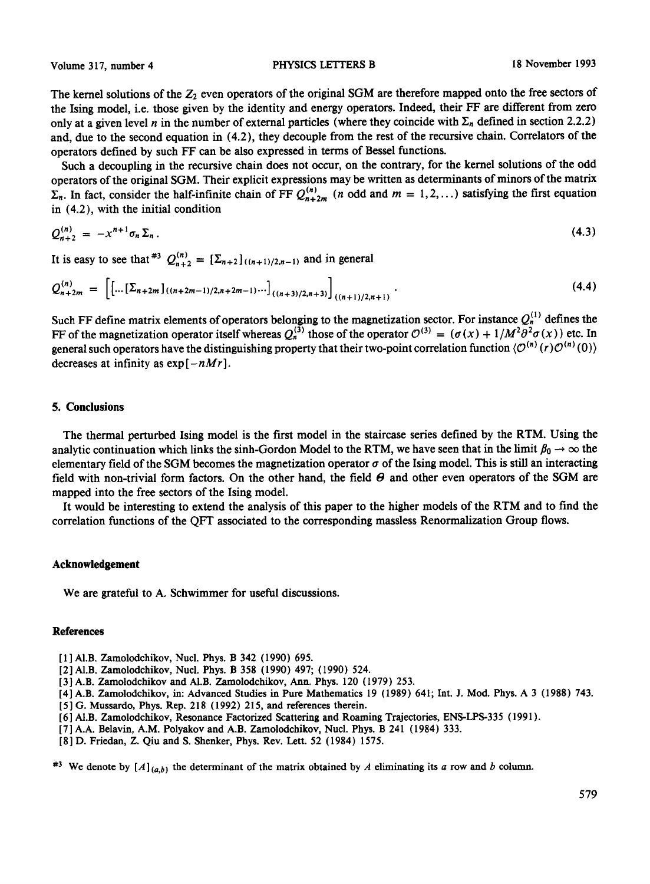Volume 317, number 4 **PHYSICS LETTERS B** 18 November 1993

The kernel solutions of the  $Z_2$  even operators of the original SGM are therefore mapped onto the free sectors of the Ising model, i.e. those given by the identity and energy operators. Indeed, their FF are different from zero only at a given level n in the number of external particles (where they coincide with  $\Sigma_n$  defined in section 2.2.2) and, due to the second equation in (4.2), they decouple from the rest of the recursive chain. Correlators of the operators defined by such FF can be also expressed in terms of Bessel functions.

Such a decoupling in the recursive chain does not occur, on the contrary, for the kernel solutions of the odd operators of the original SGM. Their explicit expressions may be written as determinants of minors of the matrix  $\Sigma_n$ . In fact, consider the half-infinite chain of FF  $Q_{n+2m}^{(n)}$  (n odd and  $m = 1, 2, ...$ ) satisfying the first equation in (4.2), with the initial condition

$$
Q_{n+2}^{(n)} = -x^{n+1}\sigma_n \Sigma_n.
$$
 (4.3)

It is easy to see that  $*^{3} Q_{n+2}^{(n)} = [\Sigma_{n+2}]_{((n+1)/2,n-1)}$  and in general

$$
Q_{n+2m}^{(n)} = \left[ \left[ \dots \left[ \Sigma_{n+2m} \right]_{((n+2m-1)/2, n+2m-1)} \dots \right]_{((n+3)/2, n+3)} \right]_{((n+1)/2, n+1)}.
$$
\n(4.4)

Such FF define matrix elements of operators belonging to the magnetization sector. For instance  $Q_h^{N}$  defines the FF of the magnetization operator itself whereas  $Q_3^{(3)}$  those of the operator  $\mathcal{O}^{(3)} = (\sigma(x) + 1/M^2 \sigma^2 \sigma(x))$  etc. In general such operators have the distinguishing property that their two-point correlation function  $\langle O^{(n)}(r)O^{(n)}(0)\rangle$ decreases at infinity as  $\exp[-nMr]$ .

# 5. Conclusions

The thermal perturbed Ising model is the first model in the staircase series defined by the RTM. Using the analytic continuation which links the sinh-Gordon Model to the RTM, we have seen that in the limit  $\beta_0 \to \infty$  the elementary field of the SGM becomes the magnetization operator  $\sigma$  of the Ising model. This is still an interacting field with non-trivial form factors. On the other hand, the field  $\theta$  and other even operators of the SGM are mapped into the free sectors of the Ising model.

It would be interesting to extend the analysis of this paper to the higher models of the RTM and to find the correlation functions of the QFT associated to the corresponding massless Renormalization Group flows.

#### **Acknowledgement**

We are grateful to A. Schwimmer for useful discussions.

# **References**

- [1] Al.B. Zamolodchikov, Nucl. Phys. B 342 (1990) 695.
- [2] A1.B. Zamolodchikov, Nucl. Phys. B 358 (1990) 497; (1990) 524.
- [3] A.B. Zamolodchikov and AI.B. Zamolodchikov, Ann. Phys. 120 (1979) 253.
- [4] A.B. Zamolodchikov, in: Advanced Studies in Pure Mathematics 19 (1989) 641; Int. **J. Mod. Phys. A 3** (1988) 743.
- [ 5 ] G. Mussardo, Phys. Rep. 218 (1992) 215, and references therein.
- [6] Al.B. Zamolodchikov, Resonance Factorized Scattering and Roaming Trajectories, ENS-LPS-335 (1991).
- [7] A.A. Belavin, A.M. Polyakov and A.B. Zamolodchikov, Nucl. Phys. B 241 (1984) 333.
- [8] D. Friedan, Z. Qiu and S. Shenker, Phys. Rev. Lett. 52 (1984) 1575.

<sup>#3</sup> We denote by  $[A]_{(a,b)}$  the determinant of the matrix obtained by A eliminating its a row and b column.